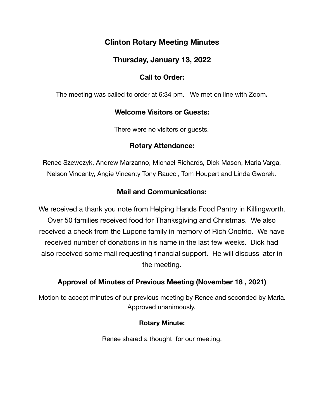# **Clinton Rotary Meeting Minutes**

# **Thursday, January 13, 2022**

# **Call to Order:**

The meeting was called to order at 6:34 pm. We met on line with Zoom**.** 

### **Welcome Visitors or Guests:**

There were no visitors or guests.

### **Rotary Attendance:**

Renee Szewczyk, Andrew Marzanno, Michael Richards, Dick Mason, Maria Varga, Nelson Vincenty, Angie Vincenty Tony Raucci, Tom Houpert and Linda Gworek.

# **Mail and Communications:**

We received a thank you note from Helping Hands Food Pantry in Killingworth. Over 50 families received food for Thanksgiving and Christmas. We also received a check from the Lupone family in memory of Rich Onofrio. We have received number of donations in his name in the last few weeks. Dick had also received some mail requesting financial support. He will discuss later in the meeting.

# **Approval of Minutes of Previous Meeting (November 18 , 2021)**

Motion to accept minutes of our previous meeting by Renee and seconded by Maria. Approved unanimously.

#### **Rotary Minute:**

Renee shared a thought for our meeting.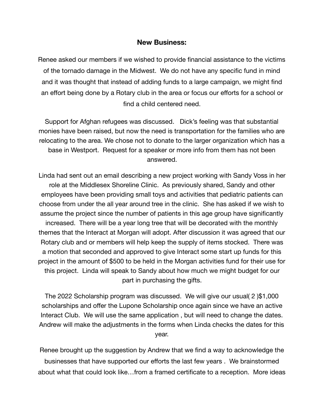#### **New Business:**

Renee asked our members if we wished to provide financial assistance to the victims of the tornado damage in the Midwest. We do not have any specific fund in mind and it was thought that instead of adding funds to a large campaign, we might find an effort being done by a Rotary club in the area or focus our efforts for a school or find a child centered need.

Support for Afghan refugees was discussed. Dick's feeling was that substantial monies have been raised, but now the need is transportation for the families who are relocating to the area. We chose not to donate to the larger organization which has a base in Westport. Request for a speaker or more info from them has not been answered.

Linda had sent out an email describing a new project working with Sandy Voss in her role at the Middlesex Shoreline Clinic. As previously shared, Sandy and other employees have been providing small toys and activities that pediatric patients can choose from under the all year around tree in the clinic. She has asked if we wish to assume the project since the number of patients in this age group have significantly increased. There will be a year long tree that will be decorated with the monthly themes that the Interact at Morgan will adopt. After discussion it was agreed that our Rotary club and or members will help keep the supply of items stocked. There was a motion that seconded and approved to give Interact some start up funds for this project in the amount of \$500 to be held in the Morgan activities fund for their use for this project. Linda will speak to Sandy about how much we might budget for our part in purchasing the gifts.

The 2022 Scholarship program was discussed. We will give our usual( 2 )\$1,000 scholarships and offer the Lupone Scholarship once again since we have an active Interact Club. We will use the same application , but will need to change the dates. Andrew will make the adjustments in the forms when Linda checks the dates for this year.

Renee brought up the suggestion by Andrew that we find a way to acknowledge the businesses that have supported our efforts the last few years . We brainstormed about what that could look like…from a framed certificate to a reception. More ideas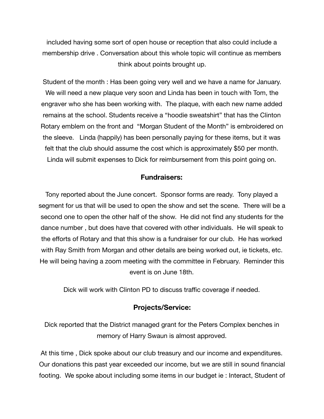included having some sort of open house or reception that also could include a membership drive . Conversation about this whole topic will continue as members think about points brought up.

Student of the month : Has been going very well and we have a name for January. We will need a new plaque very soon and Linda has been in touch with Tom, the engraver who she has been working with. The plaque, with each new name added remains at the school. Students receive a "hoodie sweatshirt" that has the Clinton Rotary emblem on the front and "Morgan Student of the Month" is embroidered on the sleeve. Linda (happily) has been personally paying for these items, but it was felt that the club should assume the cost which is approximately \$50 per month. Linda will submit expenses to Dick for reimbursement from this point going on.

#### **Fundraisers:**

Tony reported about the June concert. Sponsor forms are ready. Tony played a segment for us that will be used to open the show and set the scene. There will be a second one to open the other half of the show. He did not find any students for the dance number , but does have that covered with other individuals. He will speak to the efforts of Rotary and that this show is a fundraiser for our club. He has worked with Ray Smith from Morgan and other details are being worked out, ie tickets, etc. He will being having a zoom meeting with the committee in February. Reminder this event is on June 18th.

Dick will work with Clinton PD to discuss traffic coverage if needed.

#### **Projects/Service:**

Dick reported that the District managed grant for the Peters Complex benches in memory of Harry Swaun is almost approved.

At this time , Dick spoke about our club treasury and our income and expenditures. Our donations this past year exceeded our income, but we are still in sound financial footing. We spoke about including some items in our budget ie : Interact, Student of